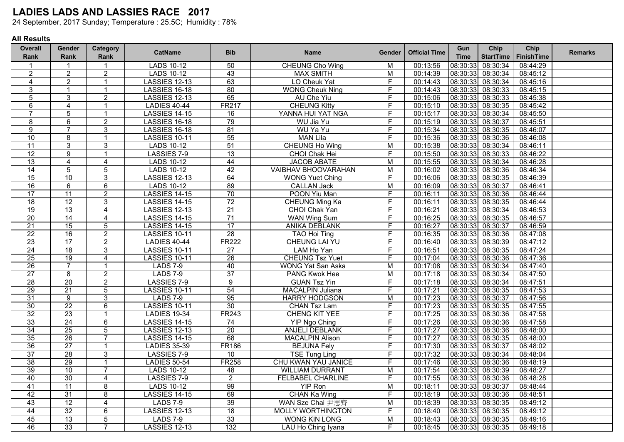24 September, 2017 Sunday; Temperature : 25.5C; Humidity : 78%

| <b>Overall</b>  | <b>Gender</b>   | Category        | <b>CatName</b>       | <b>Bib</b>      | <b>Name</b>                | <b>Gender</b>  | <b>Official Time</b> | Gun         | Chip              | Chip              | <b>Remarks</b> |
|-----------------|-----------------|-----------------|----------------------|-----------------|----------------------------|----------------|----------------------|-------------|-------------------|-------------------|----------------|
| <b>Rank</b>     | Rank            | Rank            |                      |                 |                            |                |                      | <b>Time</b> | <b>StartTime</b>  | <b>FinishTime</b> |                |
|                 |                 |                 | <b>LADS 10-12</b>    | 50              | <b>CHEUNG Cho Wing</b>     | M              | 00:13:56             | 08:30:33    | 08:30:34          | 08:44:29          |                |
| $\overline{c}$  | $\overline{2}$  | $\overline{2}$  | <b>LADS 10-12</b>    | 43              | <b>MAX SMITH</b>           | M              | 00:14:39             | 08:30:33    | 08:30:34          | 08:45:12          |                |
| 4               | $\overline{2}$  | $\mathbf{1}$    | <b>LASSIES 12-13</b> | 63              | LO Cheuk Yat               | F              | 00:14:43             | 08:30:33    | 08:30:34          | 08:45:16          |                |
| $\overline{3}$  | $\overline{1}$  | $\mathbf{1}$    | <b>LASSIES 16-18</b> | 80              | <b>WONG Cheuk Ning</b>     | F              | 00:14:43             | 08:30:33    | 08:30:33          | 08:45:15          |                |
| 5               | 3               | $\overline{2}$  | <b>LASSIES 12-13</b> | 65              | AU Che Yiu                 | F              | 00:15:06             | 08:30:33    | 08:30:33          | 08:45:38          |                |
| 6               | $\overline{4}$  | $\mathbf{1}$    | <b>LADIES 40-44</b>  | <b>FR217</b>    | <b>CHEUNG Kitty</b>        | F              | 00:15:10             | 08:30:33    | 08:30:35          | 08:45:42          |                |
| 7               | 5               | $\mathbf{1}$    | <b>LASSIES 14-15</b> | 16              | YANNA HUI YAT NGA          | F              | 00:15:17             | 08:30:33    | 08:30:34          | 08:45:50          |                |
| 8               | 6               | $\overline{2}$  | <b>LASSIES 16-18</b> | 79              | WU Jia Yu                  | F              | 00:15:19             | 08:30:33    | 08:30:37          | 08:45:51          |                |
| 9               | $\overline{7}$  | 3               | LASSIES 16-18        | 81              | <b>WU Ya Yu</b>            | F              | 00:15:34             | 08:30:33    | 08:30:35          | 08:46:07          |                |
| 10              | 8               | $\mathbf{1}$    | <b>LASSIES 10-11</b> | 55              | <b>MAN Lila</b>            | F              | 00:15:36             | 08:30:33    | 08:30:36          | 08:46:08          |                |
| 11              | 3               | 3               | <b>LADS 10-12</b>    | $\overline{51}$ | <b>CHEUNG Ho Wing</b>      | $\overline{M}$ | 00:15:38             | 08:30:33    | 08:30:34          | 08:46:11          |                |
| 12              | $\overline{9}$  | $\mathbf{1}$    | LASSIES 7-9          | 13              | <b>CHOI Chak Hei</b>       | F              | 00:15:50             | 08:30:33    | 08:30:33          | 08:46:22          |                |
| 13              | $\overline{4}$  | $\overline{4}$  | <b>LADS 10-12</b>    | 44              | <b>JACOB ABATE</b>         | $\overline{M}$ | 00:15:55             | 08:30:33    | 08:30:34          | 08:46:28          |                |
| 14              | $\overline{5}$  | $\overline{5}$  | <b>LADS 10-12</b>    | 42              | <b>VAIBHAV BHOOVARAHAN</b> | M              | 00:16:02             | 08:30:33    | 08:30:36          | 08:46:34          |                |
| 15              | 10              | $\overline{3}$  | <b>LASSIES 12-13</b> | 64              | <b>WONG Yuet Ching</b>     | F              | 00:16:06             | 08:30:33    | 08:30:35          | 08:46:39          |                |
| 16              | 6               | $\overline{6}$  | LADS 10-12           | 89              | <b>CALLAN Jack</b>         | М              | 00:16:09             | 08:30:33    | 08:30:37          | 08:46:41          |                |
| 17              | $\overline{11}$ | $\overline{2}$  | <b>LASSIES 14-15</b> | 70              | POON Yiu Man               | F              | 00:16:11             | 08:30:33    | 08:30:36          | 08:46:44          |                |
| 18              | 12              | $\overline{3}$  | <b>LASSIES 14-15</b> | 72              | <b>CHEUNG Ming Ka</b>      | F              | 00:16:11             | 08:30:33    | 08:30:35          | 08:46:44          |                |
| 19              | 13              | $\overline{4}$  | <b>LASSIES 12-13</b> | $\overline{21}$ | <b>CHOI Chak Yan</b>       | F              | 00:16:21             | 08:30:33    | 08:30:34          | 08:46:53          |                |
| 20              | 14              | $\overline{4}$  | <b>LASSIES 14-15</b> | $\overline{71}$ | <b>WAN Wing Sum</b>        | F              | 00:16:25             | 08:30:33    | 08:30:35          | 08:46:57          |                |
| $\overline{21}$ | 15              | $\overline{5}$  | <b>LASSIES 14-15</b> | 17              | <b>ANIKA DEBLANK</b>       | $\overline{F}$ | 00:16:27             | 08:30:33    | 08:30:37          | 08:46:59          |                |
| $\overline{22}$ | 16              | $\overline{2}$  | <b>LASSIES 10-11</b> | 28              | <b>TAO Hoi Ting</b>        | F              | 00:16:35             | 08:30:33    | 08:30:36          | 08:47:08          |                |
| 23              | $\overline{17}$ | $\overline{c}$  | <b>LADIES 40-44</b>  | <b>FR222</b>    | <b>CHEUNG LAI YU</b>       | E              | 00:16:40             | 08:30:33    | 08:30:39          | 08:47:12          |                |
| 24              | 18              | $\overline{3}$  | <b>LASSIES 10-11</b> | $\overline{27}$ | LAM Ho Yan                 | E              | 00:16:51             | 08:30:33    | 08:30:35          | 08:47:24          |                |
| 25              | 19              | 4               | <b>LASSIES 10-11</b> | $\overline{26}$ | <b>CHEUNG Tsz Yuet</b>     | F              | 00:17:04             | 08:30:33    | 08:30:36          | 08:47:36          |                |
| 26              | $\overline{7}$  | $\mathbf{1}$    | <b>LADS 7-9</b>      | 40              | <b>WONG Yat San Aska</b>   | M              | 00:17:08             | 08:30:33    | 08:30:34          | 08:47:40          |                |
| 27              | 8               | $\overline{2}$  | <b>LADS 7-9</b>      | 37              | <b>PANG Kwok Hee</b>       | М              | 00:17:18             | 08:30:33    | 08:30:34          | 08:47:50          |                |
| 28              | $\overline{20}$ | $\overline{2}$  | LASSIES 7-9          | $\overline{9}$  | <b>GUAN Tsz Yin</b>        | F              | 00:17:18             | 08:30:33    | 08:30:34          | 08:47:51          |                |
| 29              | $\overline{21}$ | $\overline{5}$  | <b>LASSIES 10-11</b> | 54              | <b>MACALPIN Juliana</b>    | F              | 00:17:21             | 08:30:33    | 08:30:35          | 08:47:53          |                |
| 31              | $\overline{9}$  | $\overline{3}$  | <b>LADS 7-9</b>      | 95              | <b>HARRY HODGSON</b>       | $\overline{M}$ | 00:17:23             | 08:30:33    | 08:30:37          | 08:47:56          |                |
| 30              | 22              | $6\overline{6}$ | LASSIES 10-11        | 30              | <b>CHAN Tsz Lam</b>        | F              | 00:17:23             | 08:30:33    | 08:30:35          | 08:47:55          |                |
| 32              | 23              | $\mathbf{1}$    | <b>LADIES 19-34</b>  | <b>FR243</b>    | <b>CHENG KIT YEE</b>       | F              | 00:17:25             | 08:30:33    | 08:30:36          | 08:47:58          |                |
| 33              | $\overline{24}$ | $\overline{6}$  | LASSIES 14-15        | $\overline{74}$ | <b>YIP Ngo Ching</b>       | F              | 00:17:26             | 08:30:33    | 08:30:36          | 08:47:58          |                |
| 34              | 25              | $\overline{5}$  | <b>LASSIES 12-13</b> | 20              | <b>ANJELI DEBLANK</b>      | F              | 00:17:27             | 08:30:33    | 08:30:36          | 08:48:00          |                |
| 35              | 26              | $\overline{7}$  | <b>LASSIES 14-15</b> | 68              | <b>MACALPIN Alison</b>     | F.             | 00:17:27             | 08:30:33    | 08:30:35          | 08:48:00          |                |
| 36              | 27              | $\mathbf{1}$    | <b>LADIES 35-39</b>  | <b>FR186</b>    | <b>BEJUNA Fely</b>         | F              | 00:17:30             | 08:30:33    | 08:30:37          | 08:48:02          |                |
| 37              | 28              | $\overline{3}$  | LASSIES 7-9          | 10              | <b>TSE Tung Ling</b>       | F              | 00:17:32             | 08:30:33    | 08:30:34          | 08:48:04          |                |
| 38              | 29              | $\mathbf{1}$    | <b>LADIES 50-54</b>  | <b>FR258</b>    | CHU KWAN YAU JANICE        | F              | 00:17:46             | 08:30:33    | 08:30:36          | 08:48:19          |                |
| 39              | 10              | $\overline{7}$  | LADS 10-12           | 48              | <b>WILLIAM DURRANT</b>     | $\overline{M}$ | 00:17:54             | 08:30:33    | 08:30:39          | 08:48:27          |                |
| 40              | 30              | $\overline{4}$  | LASSIES 7-9          | $\overline{2}$  | <b>FELBABEL CHARLINE</b>   | F              | 00:17:55             | 08:30:33    | 08:30:36          | 08:48:28          |                |
| 41              | 11              | 8               | LADS 10-12           | 99              | <b>YIP Ron</b>             | M              | 00:18:11             | 08:30:33    | 08:30:37          | 08:48:44          |                |
| 42              | 31              | 8               | <b>LASSIES 14-15</b> | 69              | <b>CHAN Ka Wing</b>        | F              | 00:18:19             | 08:30:33    | 08:30:36          | 08:48:51          |                |
| 43              | 12              | $\overline{4}$  | <b>LADS 7-9</b>      | 39              | WAN Sze Chai 尹思齊           | М              | 00:18:39             | 08:30:33    | 08:30:35          | 08:49:12          |                |
| 44              | 32              | $6\overline{6}$ | <b>LASSIES 12-13</b> | 18              | <b>MOLLY WORTHINGTON</b>   | F              | 00:18:40             | 08:30:33    | 08:30:35          | 08:49:12          |                |
| 45              | 13              | $\overline{5}$  | <b>LADS 7-9</b>      | 33              | WONG KIN LONG              | M              | 00:18:43             | 08:30:33    | 08:30:35          | 08:49:16          |                |
| 46              | $\overline{33}$ | $\overline{7}$  | <b>LASSIES 12-13</b> | 132             | LAU Ho Ching Iyana         | F              | 00:18:45             |             | 08:30:33 08:30:35 | 08:49:18          |                |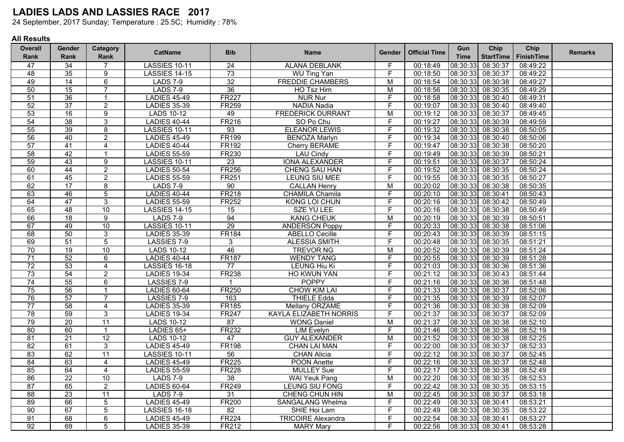24 September, 2017 Sunday; Temperature : 25.5C; Humidity : 78%

| <b>Overall</b> | Gender          | Category       |                      | <b>Bib</b>      |                               |                |                      | Gun         | Chip              | Chip       | <b>Remarks</b> |
|----------------|-----------------|----------------|----------------------|-----------------|-------------------------------|----------------|----------------------|-------------|-------------------|------------|----------------|
| Rank           | Rank            | Rank           | <b>CatName</b>       |                 | <b>Name</b>                   | Gender         | <b>Official Time</b> | <b>Time</b> | <b>StartTime</b>  | FinishTime |                |
| 47             | 34              | $\overline{7}$ | <b>LASSIES 10-11</b> | 24              | <b>ALANA DEBLANK</b>          | F              | 00:18:49             | 08:30:33    | 08:30:37          | 08:49:22   |                |
| 48             | 35              | $\overline{9}$ | <b>LASSIES 14-15</b> | 73              | <b>WU Ting Yan</b>            | F.             | 00:18:50             | 08:30:33    | 08:30:37          | 08:49:22   |                |
| 49             | 14              | $\overline{6}$ | <b>LADS 7-9</b>      | 32              | <b>FREDDIE CHAMBERS</b>       | м              | 00:18:54             | 08:30:33    | 08:30:38          | 08:49:27   |                |
| 50             | 15              | $\overline{7}$ | <b>LADS 7-9</b>      | 36              | HO Tsz Him                    | M              | 00:18:56             | 08:30:33    | 08:30:35          | 08:49:29   |                |
| 51             | 36              | $\mathbf{1}$   | <b>LADIES 45-49</b>  | <b>FR227</b>    | <b>NUR Nur</b>                | F              | 00:18:58             | 08:30:33    | 08:30:40          | 08:49:31   |                |
| 52             | $\overline{37}$ | $\overline{2}$ | <b>LADIES 35-39</b>  | <b>FR259</b>    | <b>NADIA Nadia</b>            | $\overline{F}$ | 00:19:07             | 08:30:33    | 08:30:40          | 08:49:40   |                |
| 53             | 16              | $\overline{9}$ | <b>LADS 10-12</b>    | 49              | <b>FREDERICK DURRANT</b>      | М              | 00:19:12             | 08:30:33    | 08:30:37          | 08:49:45   |                |
| 54             | 38              | $\overline{3}$ | <b>LADIES 40-44</b>  | <b>FR216</b>    | SO Po Chu                     | F              | 00:19:27             | 08:30:33    | 08:30:39          | 08:49:59   |                |
| 55             | 39              | 8              | LASSIES 10-11        | 93              | <b>ELEANOR LEWIS</b>          | F              | 00:19:32             | 08:30:33    | 08:30:38          | 08:50:05   |                |
| 56             | 40              | $\overline{2}$ | <b>LADIES 45-49</b>  | <b>FR199</b>    | <b>BENOZA Marlyn</b>          | F              | 00:19:34             | 08:30:33    | 08:30:40          | 08:50:06   |                |
| 57             | 41              | $\overline{4}$ | <b>LADIES 40-44</b>  | <b>FR192</b>    | Cherry BERAME                 | F              | 00:19:47             | 08:30:33    | 08:30:38          | 08:50:20   |                |
| 58             | 42              | $\mathbf{1}$   | <b>LADIES 55-59</b>  | <b>FR230</b>    | <b>LAU Cindy</b>              | F              | 00:19:49             | 08:30:33    | 08:30:39          | 08:50:21   |                |
| 59             | 43              | $\overline{9}$ | LASSIES 10-11        | $\overline{23}$ | <b>IONA ALEXANDER</b>         | $\overline{F}$ | 00:19:51             | 08:30:33    | 08:30:37          | 08:50:24   |                |
| 60             | 44              | $\overline{2}$ | <b>LADIES 50-54</b>  | <b>FR256</b>    | <b>CHENG SAU HAN</b>          | F              | 00:19:52             | 08:30:33    | 08:30:35          | 08:50:24   |                |
| 61             | 45              | $\overline{2}$ | <b>LADIES 55-59</b>  | <b>FR251</b>    | LEUNG SIU MEE                 | E              | 00:19:55             | 08:30:33    | 08:30:35          | 08:50:27   |                |
| 62             | 17              | 8              | <b>LADS 7-9</b>      | 90              | <b>CALLAN Henry</b>           | M              | 00:20:02             | 08:30:33    | 08:30:38          | 08:50:35   |                |
| 63             | 46              | $\overline{5}$ | <b>LADIES 40-44</b>  | <b>FR218</b>    | <b>CHAMILA Chamila</b>        | F              | 00:20:10             | 08:30:33    | 08:30:41          | 08:50:43   |                |
| 64             | 47              | $\overline{3}$ | <b>LADIES 55-59</b>  | <b>FR252</b>    | <b>KONG LOI CHUN</b>          | F              | 00:20:16             | 08:30:33    | 08:30:42          | 08:50:49   |                |
| 65             | 48              | 10             | <b>LASSIES 14-15</b> | 15              | <b>SZE YU LEE</b>             | F              | 00:20:16             | 08:30:33    | 08:30:38          | 08:50:49   |                |
| 66             | 18              | $\overline{9}$ | <b>LADS 7-9</b>      | 94              | <b>KANG CHEUK</b>             | M              | 00:20:19             | 08:30:33    | 08:30:39          | 08:50:51   |                |
| 67             | 49              | 10             | LASSIES 10-11        | 29              | <b>ANDERSON Poppy</b>         | F              | 00:20:33             | 08:30:33    | 08:30:38          | 08:51:06   |                |
| 68             | 50              | 3              | <b>LADIES 35-39</b>  | <b>FR184</b>    | <b>ABELLO Cecille</b>         | F              | 00:20:43             | 08:30:33    | 08:30:39          | 08:51:15   |                |
| 69             | $\overline{51}$ | $\overline{5}$ | LASSIES 7-9          | 3               | <b>ALESSIA SMITH</b>          | F              | 00:20:48             | 08:30:33    | 08:30:35          | 08:51:21   |                |
| 70             | 19              | 10             | <b>LADS 10-12</b>    | 46              | <b>TREVOR NG</b>              | $\overline{M}$ | 00:20:52             | 08:30:33    | 08:30:39          | 08:51:24   |                |
| 71             | 52              | $\overline{6}$ | <b>LADIES 40-44</b>  | <b>FR187</b>    | <b>WENDY TANG</b>             | F              | 00:20:55             | 08:30:33    | 08:30:39          | 08:51:28   |                |
| 72             | 53              | 4              | <b>LASSIES 16-18</b> | 77              | <b>LEUNG Hiu Ki</b>           | F              | 00:21:03             | 08:30:33    | 08:30:36          | 08:51:36   |                |
| 73             | 54              | $\overline{2}$ | <b>LADIES 19-34</b>  | <b>FR238</b>    | <b>HO KWUN YAN</b>            | F              | 00:21:12             | 08:30:33    | 08:30:43          | 08:51:44   |                |
| 74             | 55              | $\overline{6}$ | LASSIES 7-9          | $\mathbf 1$     | <b>POPPY</b>                  | F              | 00:21:16             | 08:30:33    | 08:30:36          | 08:51:48   |                |
| 75             | 56              | $\mathbf{1}$   | <b>LADIES 60-64</b>  | <b>FR250</b>    | <b>CHOW KIM LAI</b>           | F              | 00:21:33             | 08:30:33    | 08:30:37          | 08:52:06   |                |
| 76             | $\overline{57}$ | $\overline{7}$ | LASSIES 7-9          | 163             | <b>THIELE Edda</b>            | F              | 00:21:35             | 08:30:33    | 08:30:39          | 08:52:07   |                |
| 77             | 58              | $\overline{4}$ | <b>LADIES 35-39</b>  | <b>FR185</b>    | Mellany ORZAME                | F              | 00:21:36             | 08:30:33    | 08:30:38          | 08:52:09   |                |
| 78             | 59              | $\overline{3}$ | <b>LADIES 19-34</b>  | <b>FR247</b>    | <b>KAYLA ELIZABETH NORRIS</b> | F              | 00:21:37             | 08:30:33    | 08:30:37          | 08:52:09   |                |
| 79             | $\overline{20}$ | 11             | <b>LADS 10-12</b>    | 87              | <b>WONG Daniel</b>            | M              | 00:21:37             | 08:30:33    | 08:30:38          | 08:52:10   |                |
| 80             | 60              | $\mathbf{1}$   | LADIES 65+           | <b>FR232</b>    | <b>LIM Evelyn</b>             | F              | 00:21:46             | 08:30:33    | 08:30:36          | 08:52:19   |                |
| 81             | $\overline{21}$ | 12             | <b>LADS 10-12</b>    | 47              | <b>GUY ALEXANDER</b>          | $\overline{M}$ | 00:21:52             | 08:30:33    | 08:30:38          | 08:52:25   |                |
| 82             | 61              | $\overline{3}$ | <b>LADIES 45-49</b>  | <b>FR198</b>    | <b>CHAN LAI MAN</b>           | F              | 00:22:00             | 08:30:33    | 08:30:37          | 08:52:33   |                |
| 83             | 62              | 11             | LASSIES 10-11        | 56              | <b>CHAN Alicia</b>            | F              | 00:22:12             | 08:30:33    | 08:30:37          | 08:52:45   |                |
| 84             | 63              | $\overline{4}$ | <b>LADIES 45-49</b>  | <b>FR225</b>    | <b>POON Anette</b>            | F              | 00:22:16             | 08:30:33    | 08:30:37          | 08:52:48   |                |
| 85             | 64              | $\overline{4}$ | <b>LADIES 55-59</b>  | <b>FR228</b>    | <b>MULLEY Sue</b>             | F              | 00:22:17             | 08:30:33    | 08:30:38          | 08:52:49   |                |
| 86             | $\overline{22}$ | 10             | <b>LADS 7-9</b>      | 38              | <b>WAI Yeuk Pang</b>          | $\overline{M}$ | 00:22:20             | 08:30:33    | 08:30:35          | 08:52:53   |                |
| 87             | 65              | $\overline{2}$ | <b>LADIES 60-64</b>  | <b>FR249</b>    | LEUNG SIU FONG                | F              | 00:22:42             | 08:30:33    | 08:30:35          | 08:53:15   |                |
| 88             | 23              | 11             | <b>LADS 7-9</b>      | 31              | <b>CHENG CHUN HIN</b>         | M              | 00:22:45             | 08:30:33    | 08:30:37          | 08:53:18   |                |
| 89             | 66              | 5              | <b>LADIES 45-49</b>  | <b>FR200</b>    | <b>SANGALANG Whelma</b>       | F              | 00:22:49             | 08:30:33    | 08:30:41          | 08:53:21   |                |
| 90             | 67              | $\overline{5}$ | <b>LASSIES 16-18</b> | 82              | SHIE Hoi Lam                  | F              | 00:22:49             | 08:30:33    | 08:30:35          | 08:53:22   |                |
| 91             | 68              | $\overline{6}$ | <b>LADIES 45-49</b>  | <b>FR224</b>    | <b>TRICOIRE Alexandra</b>     | F              | 00:22:54             | 08:30:33    | 08:30:41          | 08:53:27   |                |
| 92             | 69              | $\overline{5}$ | <b>LADIES 35-39</b>  | <b>FR212</b>    | <b>MARY Mary</b>              | F              | 00:22:56             |             | 08:30:33 08:30:41 | 08:53:28   |                |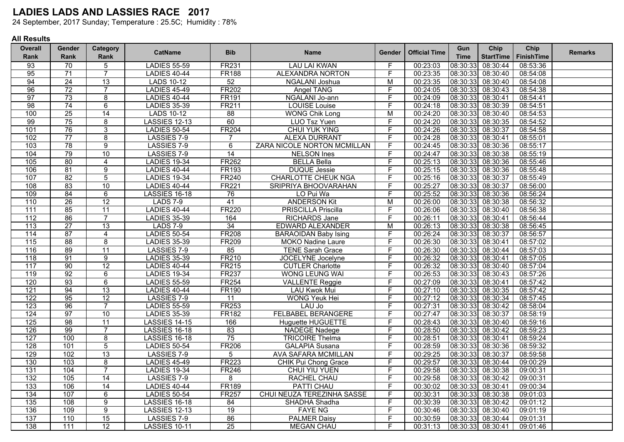24 September, 2017 Sunday; Temperature : 25.5C; Humidity : 78%

| <b>Overall</b>   | <b>Gender</b>   | Category        | <b>CatName</b>       | <b>Bib</b>      | <b>Name</b>                 |                         | <b>Official Time</b><br><b>Gender</b> | Gun         | Chip              | Chip              | <b>Remarks</b> |
|------------------|-----------------|-----------------|----------------------|-----------------|-----------------------------|-------------------------|---------------------------------------|-------------|-------------------|-------------------|----------------|
| <b>Rank</b>      | Rank            | Rank            |                      |                 |                             |                         |                                       | <b>Time</b> | <b>StartTime</b>  | <b>FinishTime</b> |                |
| 93               | 70              | 5               | <b>LADIES 55-59</b>  | <b>FR231</b>    | <b>LAU LAI KWAN</b>         | F                       | 00:23:03                              | 08:30:33    | 08:30:44          | 08:53:36          |                |
| 95               | $\overline{71}$ | $\overline{7}$  | <b>LADIES 40-44</b>  | <b>FR188</b>    | <b>ALEXANDRA NORTON</b>     | $\overline{F}$          | 00:23:35                              | 08:30:33    | 08:30:40          | 08:54:08          |                |
| 94               | $\overline{24}$ | 13              | <b>LADS 10-12</b>    | 52              | NGALANI Joshua              | M                       | 00:23:35                              | 08:30:33    | 08:30:40          | 08:54:08          |                |
| 96               | 72              | $\overline{7}$  | <b>LADIES 45-49</b>  | <b>FR202</b>    | <b>Angel TANG</b>           | F                       | 00:24:05                              | 08:30:33    | 08:30:43          | 08:54:38          |                |
| 97               | 73              | $\overline{8}$  | <b>LADIES 40-44</b>  | <b>FR191</b>    | NGALANI Jo-ann              | F                       | 00:24:09                              | 08:30:33    | 08:30:41          | 08:54:41          |                |
| 98               | 74              | $\overline{6}$  | <b>LADIES 35-39</b>  | <b>FR211</b>    | <b>LOUISE</b> Louise        | F                       | 00:24:18                              | 08:30:33    | 08:30:39          | 08:54:51          |                |
| 100              | $\overline{25}$ | 14              | <b>LADS 10-12</b>    | 88              | <b>WONG Chik Long</b>       | M                       | 00:24:20                              | 08:30:33    | 08:30:40          | 08:54:53          |                |
| 99               | 75              | $\overline{8}$  | <b>LASSIES 12-13</b> | 60              | LUO Tsz Yuen                | F                       | 00:24:20                              | 08:30:33    | 08:30:35          | 08:54:52          |                |
| 101              | 76              | $\overline{3}$  | <b>LADIES 50-54</b>  | <b>FR204</b>    | <b>CHUI YUK YING</b>        | F.                      | 00:24:26                              | 08:30:33    | 08:30:37          | 08:54:58          |                |
| 102              | $\overline{77}$ | $\overline{8}$  | LASSIES 7-9          | $\overline{7}$  | <b>ALEXA DURRANT</b>        | F                       | 00:24:28                              | 08:30:33    | 08:30:41          | 08:55:01          |                |
| 103              | 78              | $\overline{9}$  | LASSIES 7-9          | $\overline{6}$  | ZARA NICOLE NORTON MCMILLAN | F                       | 00:24:45                              | 08:30:33    | 08:30:36          | 08:55:17          |                |
| 104              | 79              | 10              | LASSIES 7-9          | 14              | <b>NELSON</b> Ines          | F                       | 00:24:47                              | 08:30:33    | 08:30:38          | 08:55:19          |                |
| 105              | 80              | $\overline{4}$  | <b>LADIES 19-34</b>  | <b>FR262</b>    | <b>BELLA Bella</b>          | F                       | 00:25:13                              | 08:30:33    | 08:30:36          | 08:55:46          |                |
| 106              | 81              | $\overline{9}$  | <b>LADIES 40-44</b>  | <b>FR193</b>    | <b>DUQUE Jessie</b>         | F                       | 00:25:15                              | 08:30:33    | 08:30:36          | 08:55:48          |                |
| 107              | 82              | $\overline{5}$  | <b>LADIES 19-34</b>  | <b>FR240</b>    | <b>CHARLOTTE CHEUK NGA</b>  | F                       | 00:25:16                              | 08:30:33    | 08:30:37          | 08:55:49          |                |
| 108              | 83              | 10              | <b>LADIES 40-44</b>  | <b>FR221</b>    | SRIPRIYA BHOOVARAHAN        | F                       | 00:25:27                              | 08:30:33    | 08:30:37          | 08:56:00          |                |
| 109              | 84              | $\overline{6}$  | <b>LASSIES 16-18</b> | 76              | LO Pui Wa                   | F                       | 00:25:52                              | 08:30:33    | 08:30:36          | 08:56:24          |                |
| 110              | 26              | 12              | <b>LADS 7-9</b>      | $\overline{41}$ | <b>ANDERSON Kit</b>         | M                       | 00:26:00                              | 08:30:33    | 08:30:38          | 08:56:32          |                |
| 111              | 85              | $\overline{11}$ | <b>LADIES 40-44</b>  | <b>FR220</b>    | <b>PRISCILLA Priscilla</b>  | $\overline{F}$          | 00:26:06                              | 08:30:33    | 08:30:40          | 08:56:38          |                |
| 112              | 86              | $\overline{7}$  | <b>LADIES 35-39</b>  | 164             | <b>RICHARDS Jane</b>        | F                       | 00:26:11                              | 08:30:33    | 08:30:41          | 08:56:44          |                |
| 113              | $\overline{27}$ | 13              | <b>LADS 7-9</b>      | 34              | <b>EDWARD ALEXANDER</b>     | M                       | 00:26:13                              | 08:30:33    | 08:30:38          | 08:56:45          |                |
| 114              | 87              | $\overline{4}$  | <b>LADIES 50-54</b>  | <b>FR208</b>    | <b>BARAOIDAN Baby Ising</b> | F                       | 00:26:24                              | 08:30:33    | 08:30:37          | 08:56:57          |                |
| 115              | 88              | $\overline{8}$  | <b>LADIES 35-39</b>  | <b>FR209</b>    | <b>MOKO Nadine Laure</b>    | F.                      | 00:26:30                              | 08:30:33    | 08:30:41          | 08:57:02          |                |
| 116              | 89              | 11              | LASSIES 7-9          | 85              | <b>TENE Sarah Grace</b>     | $\overline{\mathsf{F}}$ | 00:26:30                              | 08:30:33    | 08:30:44          | 08:57:03          |                |
| 118              | 91              | $\overline{9}$  | <b>LADIES 35-39</b>  | FR210           | <b>JOCELYNE</b> Jocelyne    | F.                      | 00:26:32                              | 08:30:33    | 08:30:41          | 08:57:05          |                |
| 117              | 90              | 12              | <b>LADIES 40-44</b>  | <b>FR215</b>    | <b>CUTLER Charlotte</b>     | F.                      | 00:26:32                              | 08:30:33    | 08:30:40          | 08:57:04          |                |
| 119              | 92              | $\overline{6}$  | <b>LADIES 19-34</b>  | <b>FR237</b>    | <b>WONG LEUNG WAI</b>       | F                       | 00:26:53                              | 08:30:33    | 08:30:43          | 08:57:26          |                |
| 120              | 93              | $6\overline{6}$ | <b>LADIES 55-59</b>  | <b>FR254</b>    | <b>VALLENTE Reggie</b>      | $\overline{F}$          | 00:27:09                              | 08:30:33    | 08:30:41          | 08:57:42          |                |
| 121              | 94              | 13              | <b>LADIES 40-44</b>  | <b>FR190</b>    | <b>LAU Kwok Mui</b>         | F                       | 00:27:10                              | 08:30:33    | 08:30:35          | 08:57:42          |                |
| 122              | 95              | 12              | LASSIES 7-9          | $\overline{11}$ | <b>WONG Yeuk Hei</b>        | F                       | 00:27:12                              | 08:30:33    | 08:30:34          | 08:57:45          |                |
| 123              | 96              | $\overline{7}$  | <b>LADIES 55-59</b>  | <b>FR253</b>    | LAU Jo                      | F                       | 00:27:31                              | 08:30:33    | 08:30:42          | 08:58:04          |                |
| 124              | 97              | 10              | <b>LADIES 35-39</b>  | <b>FR182</b>    | <b>FELBABEL BERANGERE</b>   | F.                      | 00:27:47                              | 08:30:33    | 08:30:37          | 08:58:19          |                |
| 125              | 98              | 11              | <b>LASSIES 14-15</b> | 166             | <b>Huguette HUGUETTE</b>    | F                       | 00:28:43                              | 08:30:33    | 08:30:40          | 08:59:16          |                |
| 126              | 99              | $\overline{7}$  | <b>LASSIES 16-18</b> | 83              | <b>NADEGE Nadege</b>        | F                       | 00:28:50                              | 08:30:33    | 08:30:42          | 08:59:23          |                |
| 127              | 100             | $\overline{8}$  | <b>LASSIES 16-18</b> | 75              | <b>TRICOIRE Thelma</b>      | F                       | 00:28:51                              | 08:30:33    | 08:30:41          | 08:59:24          |                |
| 128              | 101             | 5               | <b>LADIES 50-54</b>  | <b>FR206</b>    | <b>GALAPIA Susana</b>       | F                       | 00:28:59                              | 08:30:33    | 08:30:36          | 08:59:32          |                |
| 129              | 102             | 13              | LASSIES 7-9          | 5               | AVA SAFARA MCMILLAN         | F                       | 00:29:25                              | 08:30:33    | 08:30:37          | 08:59:58          |                |
| 130              | 103             | $\overline{8}$  | <b>LADIES 45-49</b>  | <b>FR223</b>    | <b>CHIK Pui Chong Grace</b> | F                       | 00:29:57                              | 08:30:33    | 08:30:44          | 09:00:29          |                |
| 131              | 104             | $\overline{7}$  | <b>LADIES 19-34</b>  | <b>FR246</b>    | CHUI YIU YUEN               | F                       | 00:29:58                              | 08:30:33    | 08:30:38          | 09:00:31          |                |
| 132              | 105             | 14              | LASSIES 7-9          | 8               | RACHEL CHAU                 | F                       | 00:29:58                              | 08:30:33    | 08:30:42          | 09:00:31          |                |
| 133              | 106             | 14              | <b>LADIES 40-44</b>  | <b>FR189</b>    | <b>PATTI CHAU</b>           | F                       | 00:30:02                              | 08:30:33    | 08:30:41          | 09:00:34          |                |
| 134              | 107             | $\overline{6}$  | <b>LADIES 50-54</b>  | <b>FR257</b>    | CHUI NEUZA TEREZINHA SASSE  | F                       | 00:30:31                              | 08:30:33    | 08:30:38          | 09:01:03          |                |
| $\overline{135}$ | 108             | $\overline{9}$  | <b>LASSIES 16-18</b> | 84              | SHADHA Shadha               | F                       | 00:30:39                              | 08:30:33    | 08:30:42          | 09:01:12          |                |
| 136              | 109             | $\overline{9}$  | <b>LASSIES 12-13</b> | 19              | <b>FAYE NG</b>              | F.                      | 00:30:46                              | 08:30:33    | 08:30:40          | 09:01:19          |                |
| 137              | 110             | 15              | LASSIES 7-9          | 86              | <b>PALMER Daisy</b>         | F                       | 00:30:59                              | 08:30:33    | 08:30:44          | 09:01:31          |                |
| 138              | 111             | 12              | LASSIES 10-11        | 25              | <b>MEGAN CHAU</b>           | F                       | 00:31:13                              |             | 08:30:33 08:30:41 | 09:01:46          |                |